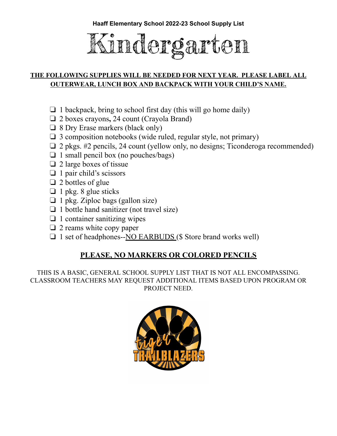

# **THE FOLLOWING SUPPLIES WILL BE NEEDED FOR NEXT YEAR. PLEASE LABEL ALL OUTERWEAR, LUNCH BOX AND BACKPACK WITH YOUR CHILD'S NAME.**

- $\Box$  1 backpack, bring to school first day (this will go home daily)
- ❏ 2 boxes crayons**,** 24 count (Crayola Brand)
- ❏ 8 Dry Erase markers (black only)
- ❏ 3 composition notebooks (wide ruled, regular style, not primary)
- ❏ 2 pkgs. #2 pencils, 24 count (yellow only, no designs; Ticonderoga recommended)
- $\Box$  1 small pencil box (no pouches/bags)
- ❏ 2 large boxes of tissue
- ❏ 1 pair child's scissors
- ❏ 2 bottles of glue
- $\Box$  1 pkg. 8 glue sticks
- $\Box$  1 pkg. Ziploc bags (gallon size)
- ❏ 1 bottle hand sanitizer (not travel size)
- $\Box$  1 container sanitizing wipes
- ❏ 2 reams white copy paper
- ❏ 1 set of headphones--NO EARBUDS (\$ Store brand works well)

# **PLEASE, NO MARKERS OR COLORED PENCILS**

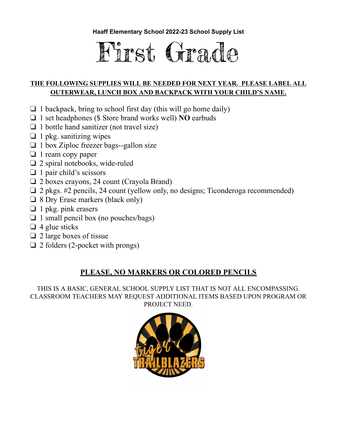

# **THE FOLLOWING SUPPLIES WILL BE NEEDED FOR NEXT YEAR. PLEASE LABEL ALL OUTERWEAR, LUNCH BOX AND BACKPACK WITH YOUR CHILD'S NAME.**

- $\Box$  1 backpack, bring to school first day (this will go home daily)
- ❏ 1 set headphones (\$ Store brand works well) **NO** earbuds
- ❏ 1 bottle hand sanitizer (not travel size)
- $\Box$  1 pkg. sanitizing wipes
- ❏ 1 box Ziploc freezer bags--gallon size
- ❏ 1 ream copy paper
- ❏ 2 spiral notebooks, wide-ruled
- ❏ 1 pair child's scissors
- ❏ 2 boxes crayons, 24 count (Crayola Brand)
- ❏ 2 pkgs. #2 pencils, 24 count (yellow only, no designs; Ticonderoga recommended)
- ❏ 8 Dry Erase markers (black only)
- $\Box$  1 pkg. pink erasers
- ❏ 1 small pencil box (no pouches/bags)
- $\Box$  4 glue sticks
- ❏ 2 large boxes of tissue
- $\Box$  2 folders (2-pocket with prongs)

# **PLEASE, NO MARKERS OR COLORED PENCILS**

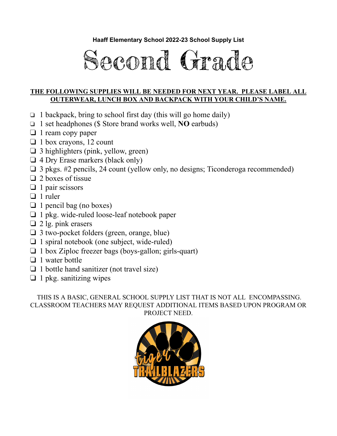

#### **THE FOLLOWING SUPPLIES WILL BE NEEDED FOR NEXT YEAR. PLEASE LABEL ALL OUTERWEAR, LUNCH BOX AND BACKPACK WITH YOUR CHILD'S NAME.**

- $\Box$  1 backpack, bring to school first day (this will go home daily)
- ❏ 1 set headphones (\$ Store brand works well, **NO** earbuds)
- ❏ 1 ream copy paper
- ❏ 1 box crayons, 12 count
- ❏ 3 highlighters (pink, yellow, green)
- ❏ 4 Dry Erase markers (black only)
- ❏ 3 pkgs. #2 pencils, 24 count (yellow only, no designs; Ticonderoga recommended)
- ❏ 2 boxes of tissue
- ❏ 1 pair scissors
- ❏ 1 ruler
- $\Box$  1 pencil bag (no boxes)
- ❏ 1 pkg. wide-ruled loose-leaf notebook paper
- ❏ 2 lg. pink erasers
- ❏ 3 two-pocket folders (green, orange, blue)
- ❏ 1 spiral notebook (one subject, wide-ruled)
- ❏ 1 box Ziploc freezer bags (boys-gallon; girls-quart)
- ❏ 1 water bottle
- ❏ 1 bottle hand sanitizer (not travel size)
- $\Box$  1 pkg. sanitizing wipes

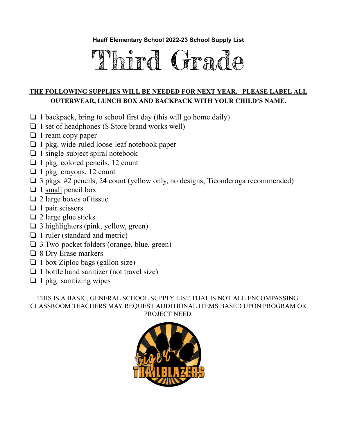# Third Grade

## **THE FOLLOWING SUPPLIES WILL BE NEEDED FOR NEXT YEAR. PLEASE LABEL ALL OUTERWEAR, LUNCH BOX AND BACKPACK WITH YOUR CHILD'S NAME.**

- $\Box$  1 backpack, bring to school first day (this will go home daily)
- $\Box$  1 set of headphones (\$ Store brand works well)
- ❏ 1 ream copy paper
- ❏ 1 pkg. wide-ruled loose-leaf notebook paper
- $\Box$  1 single-subject spiral notebook
- ❏ 1 pkg. colored pencils, 12 count
- ❏ 1 pkg. crayons, 12 count
- ❏ 3 pkgs. #2 pencils, 24 count (yellow only, no designs; Ticonderoga recommended)
- $\Box$  1 small pencil box
- ❏ 2 large boxes of tissue
- ❏ 1 pair scissors
- $\Box$  2 large glue sticks
- ❏ 3 highlighters (pink, yellow, green)
- ❏ 1 ruler (standard and metric)
- ❏ 3 Two-pocket folders (orange, blue, green)
- ❏ 8 Dry Erase markers
- ❏ 1 box Ziploc bags (gallon size)
- ❏ 1 bottle hand sanitizer (not travel size)
- $\Box$  1 pkg. sanitizing wipes

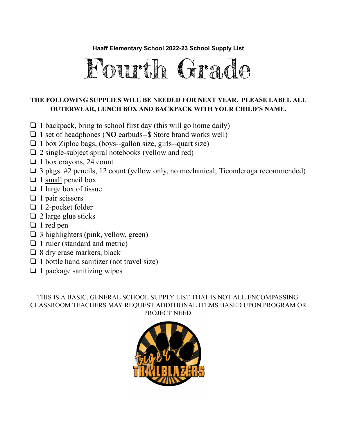

## **THE FOLLOWING SUPPLIES WILL BE NEEDED FOR NEXT YEAR. PLEASE LABEL ALL OUTERWEAR, LUNCH BOX AND BACKPACK WITH YOUR CHILD'S NAME.**

- $\Box$  1 backpack, bring to school first day (this will go home daily)
- ❏ 1 set of headphones (**NO** earbuds--\$ Store brand works well)
- ❏ 1 box Ziploc bags, (boys--gallon size, girls--quart size)
- $\Box$  2 single-subject spiral notebooks (yellow and red)
- ❏ 1 box crayons, 24 count
- ❏ 3 pkgs. #2 pencils, 12 count (yellow only, no mechanical; Ticonderoga recommended)
- $\Box$  1 small pencil box
- $\Box$  1 large box of tissue
- $\Box$  1 pair scissors
- ❏ 1 2-pocket folder
- $\Box$  2 large glue sticks
- ❏ 1 red pen
- ❏ 3 highlighters (pink, yellow, green)
- ❏ 1 ruler (standard and metric)
- ❏ 8 dry erase markers, black
- ❏ 1 bottle hand sanitizer (not travel size)
- $\Box$  1 package sanitizing wipes